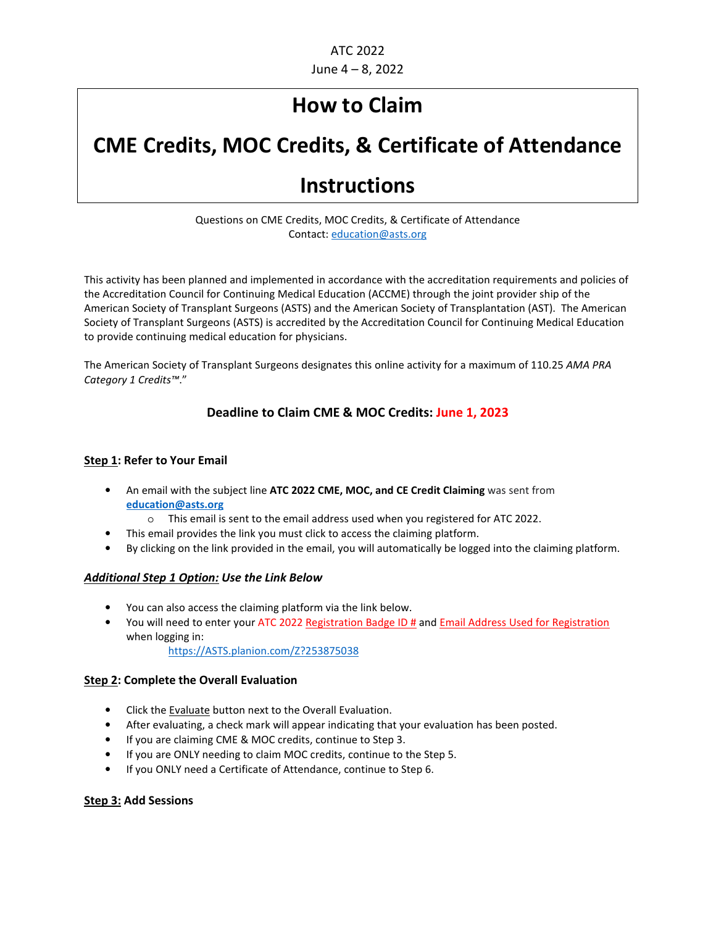## **How to Claim**

# **CME Credits, MOC Credits, & Certificate of Attendance**

## **Instructions**

#### Questions on CME Credits, MOC Credits, & Certificate of Attendance Contact: education@asts.org

This activity has been planned and implemented in accordance with the accreditation requirements and policies of the Accreditation Council for Continuing Medical Education (ACCME) through the joint provider ship of the American Society of Transplant Surgeons (ASTS) and the American Society of Transplantation (AST). The American Society of Transplant Surgeons (ASTS) is accredited by the Accreditation Council for Continuing Medical Education to provide continuing medical education for physicians.

The American Society of Transplant Surgeons designates this online activity for a maximum of 110.25 *AMA PRA Category 1 Credits™*."

## **Deadline to Claim CME & MOC Credits: June 1, 2023**

#### **Step 1: Refer to Your Email**

- An email with the subject line **ATC 2022 CME, MOC, and CE Credit Claiming** was sent from **education@asts.org**
	- o This email is sent to the email address used when you registered for ATC 2022.
	- This email provides the link you must click to access the claiming platform.
- By clicking on the link provided in the email, you will automatically be logged into the claiming platform.

#### *Additional Step 1 Option: Use the Link Below*

- You can also access the claiming platform via the link below.
- You will need to enter your ATC 2022 Registration Badge ID # and Email Address Used for Registration when logging in:

https://ASTS.planion.com/Z?253875038

#### **Step 2: Complete the Overall Evaluation**

- Click the Evaluate button next to the Overall Evaluation.
- After evaluating, a check mark will appear indicating that your evaluation has been posted.
- If you are claiming CME & MOC credits, continue to Step 3.
- If you are ONLY needing to claim MOC credits, continue to the Step 5.
- If you ONLY need a Certificate of Attendance, continue to Step 6.

#### **Step 3: Add Sessions**